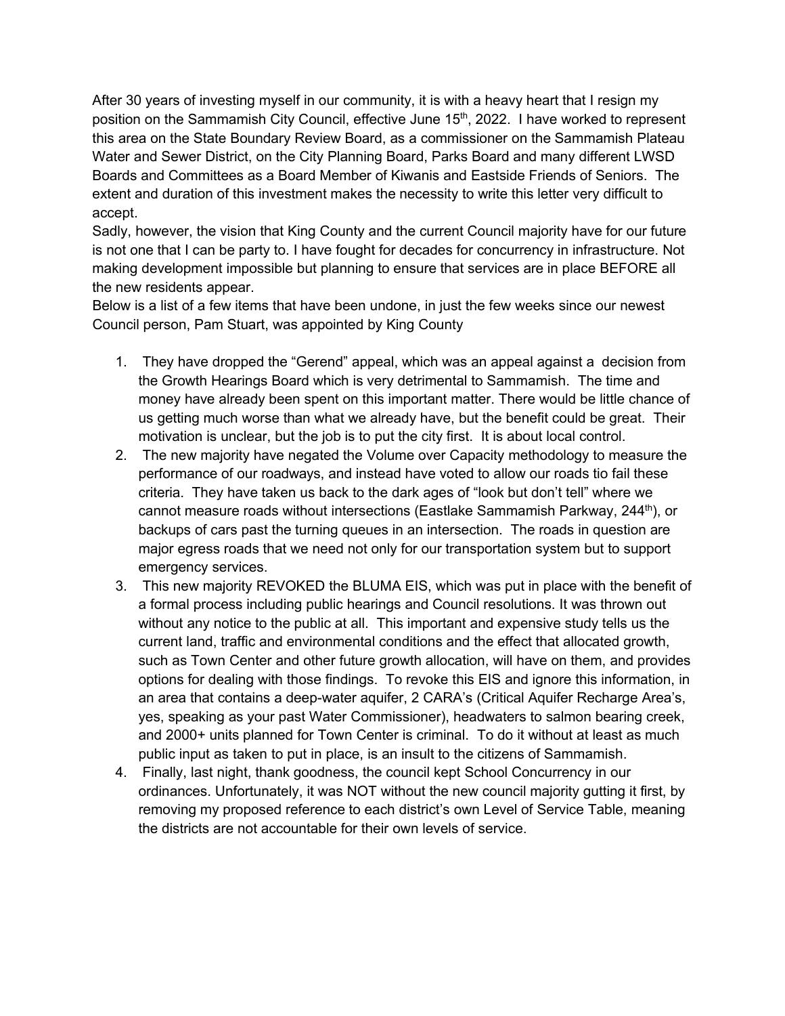After 30 years of investing myself in our community, it is with a heavy heart that I resign my position on the Sammamish City Council, effective June 15<sup>th</sup>, 2022. I have worked to represent this area on the State Boundary Review Board, as a commissioner on the Sammamish Plateau Water and Sewer District, on the City Planning Board, Parks Board and many different LWSD Boards and Committees as a Board Member of Kiwanis and Eastside Friends of Seniors. The extent and duration of this investment makes the necessity to write this letter very difficult to accept.

Sadly, however, the vision that King County and the current Council majority have for our future is not one that I can be party to. I have fought for decades for concurrency in infrastructure. Not making development impossible but planning to ensure that services are in place BEFORE all the new residents appear.

Below is a list of a few items that have been undone, in just the few weeks since our newest Council person, Pam Stuart, was appointed by King County

- 1. They have dropped the "Gerend" appeal, which was an appeal against a decision from the Growth Hearings Board which is very detrimental to Sammamish. The time and money have already been spent on this important matter. There would be little chance of us getting much worse than what we already have, but the benefit could be great. Their motivation is unclear, but the job is to put the city first. It is about local control.
- 2. The new majority have negated the Volume over Capacity methodology to measure the performance of our roadways, and instead have voted to allow our roads tio fail these criteria. They have taken us back to the dark ages of "look but don't tell" where we cannot measure roads without intersections (Eastlake Sammamish Parkway, 244<sup>th</sup>), or backups of cars past the turning queues in an intersection. The roads in question are major egress roads that we need not only for our transportation system but to support emergency services.
- 3. This new majority REVOKED the BLUMA EIS, which was put in place with the benefit of a formal process including public hearings and Council resolutions. It was thrown out without any notice to the public at all. This important and expensive study tells us the current land, traffic and environmental conditions and the effect that allocated growth, such as Town Center and other future growth allocation, will have on them, and provides options for dealing with those findings. To revoke this EIS and ignore this information, in an area that contains a deep-water aquifer, 2 CARA's (Critical Aquifer Recharge Area's, yes, speaking as your past Water Commissioner), headwaters to salmon bearing creek, and 2000+ units planned for Town Center is criminal. To do it without at least as much public input as taken to put in place, is an insult to the citizens of Sammamish.
- 4. Finally, last night, thank goodness, the council kept School Concurrency in our ordinances. Unfortunately, it was NOT without the new council majority gutting it first, by removing my proposed reference to each district's own Level of Service Table, meaning the districts are not accountable for their own levels of service.